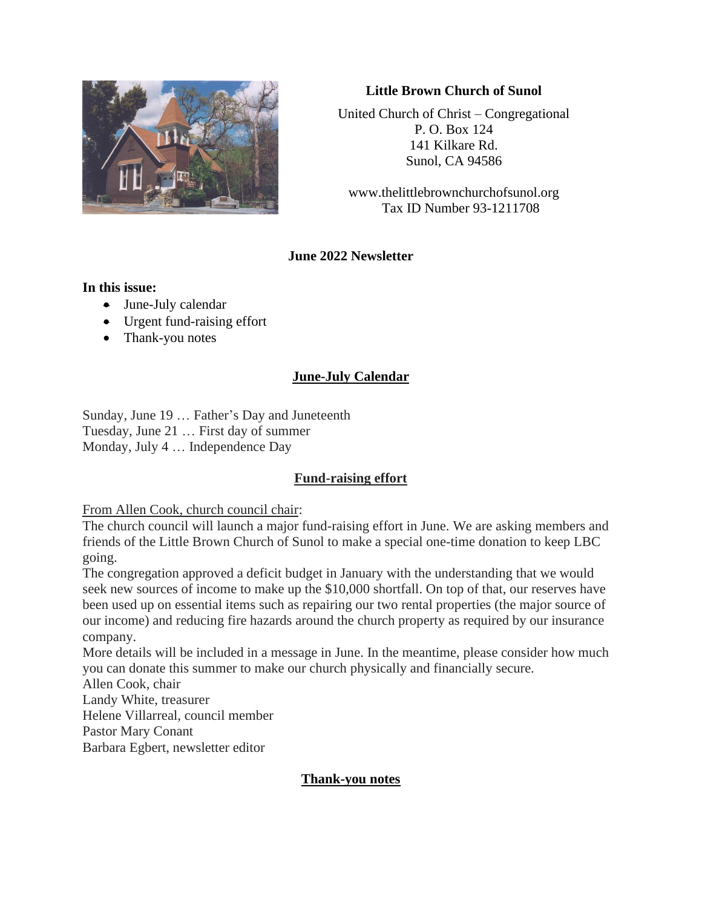

### **Little Brown Church of Sunol**

United Church of Christ – Congregational P. O. Box 124 141 Kilkare Rd. Sunol, CA 94586

www.thelittlebrownchurchofsunol.org Tax ID Number 93-1211708

# **June 2022 Newsletter**

#### **In this issue:**

- June-July calendar
- Urgent fund-raising effort
- Thank-you notes

# **June-July Calendar**

Sunday, June 19 … Father's Day and Juneteenth Tuesday, June 21 … First day of summer Monday, July 4 … Independence Day

# **Fund-raising effort**

From Allen Cook, church council chair:

The church council will launch a major fund-raising effort in June. We are asking members and friends of the Little Brown Church of Sunol to make a special one-time donation to keep LBC going.

The congregation approved a deficit budget in January with the understanding that we would seek new sources of income to make up the \$10,000 shortfall. On top of that, our reserves have been used up on essential items such as repairing our two rental properties (the major source of our income) and reducing fire hazards around the church property as required by our insurance company.

More details will be included in a message in June. In the meantime, please consider how much you can donate this summer to make our church physically and financially secure.

Allen Cook, chair

Landy White, treasurer

Helene Villarreal, council member

Pastor Mary Conant

Barbara Egbert, newsletter editor

#### **Thank-you notes**